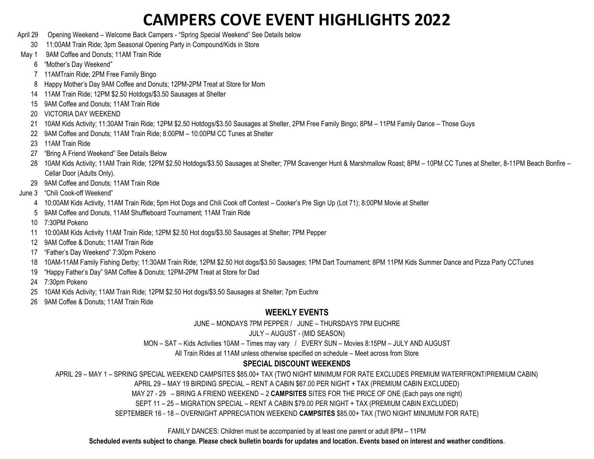- April 29 Opening Weekend Welcome Back Campers "Spring Special Weekend" See Details below
	- 30 11:00AM Train Ride; 3pm Seasonal Opening Party in Compound/Kids in Store
- May 1 9AM Coffee and Donuts: 11AM Train Ride
	- 6 "Mother's Day Weekend"
	- 7 11AMTrain Ride; 2PM Free Family Bingo
	- 8 Happy Mother's Day 9AM Coffee and Donuts; 12PM-2PM Treat at Store for Mom
	- 14 11AM Train Ride; 12PM \$2.50 Hotdogs/\$3.50 Sausages at Shelter
	- 15 9AM Coffee and Donuts; 11AM Train Ride
	- 20 VICTORIA DAY WEEKEND
	- 21 10AM Kids Activity; 11:30AM Train Ride; 12PM \$2.50 Hotdogs/\$3.50 Sausages at Shelter, 2PM Free Family Bingo; 8PM 11PM Family Dance Those Guys
	- 22 9AM Coffee and Donuts; 11AM Train Ride; 8:00PM 10:00PM CC Tunes at Shelter
	- 23 11AM Train Ride
	- 27 "Bring A Friend Weekend" See Details Below
	- 28 10AM Kids Activity; 11AM Train Ride; 12PM \$2.50 Hotdogs/\$3.50 Sausages at Shelter; 7PM Scavenger Hunt & Marshmallow Roast; 8PM 10PM CC Tunes at Shelter, 8-11PM Beach Bonfire -Cellar Door (Adults Only).
	- 29 9AM Coffee and Donuts; 11AM Train Ride
- June 3 "Chili Cook-off Weekend"
	- 4 10:00AM Kids Activity, 11AM Train Ride; 5pm Hot Dogs and Chili Cook off Contest Cooker's Pre Sign Up (Lot 71); 8:00PM Movie at Shelter
	- 5 9AM Coffee and Donuts, 11AM Shuffleboard Tournament; 11AM Train Ride
	- 10 7:30PM Pokeno
	- 11 10:00AM Kids Activity 11AM Train Ride; 12PM \$2.50 Hot dogs/\$3.50 Sausages at Shelter; 7PM Pepper
	- 12 9AM Coffee & Donuts; 11AM Train Ride
	- 17 "Father's Day Weekend" 7:30pm Pokeno
	- 18 10AM-11AM Family Fishing Derby; 11:30AM Train Ride; 12PM \$2.50 Hot dogs/\$3.50 Sausages; 1PM Dart Tournament; 8PM 11PM Kids Summer Dance and Pizza Party CCTunes
	- 19 "Happy Father's Day" 9AM Coffee & Donuts; 12PM-2PM Treat at Store for Dad
	- 24 7:30pm Pokeno
	- 25 10AM Kids Activity; 11AM Train Ride; 12PM \$2.50 Hot dogs/\$3.50 Sausages at Shelter; 7pm Euchre
	- 26 9AM Coffee & Donuts; 11AM Train Ride

### **WEEKLY EVENTS**

JUNE – MONDAYS 7PM PEPPER / JUNE – THURSDAYS 7PM EUCHRE

### JULY – AUGUST - (MID SEASON)

MON – SAT – Kids Activities 10AM – Times may vary / EVERY SUN – Movies 8:15PM – JULY AND AUGUST

All Train Rides at 11AM unless otherwise specified on schedule – Meet across from Store

### **SPECIAL DISCOUNT WEEKENDS**

APRIL 29 – MAY 1 – SPRING SPECIAL WEEKEND CAMPSITES \$85.00+ TAX (TWO NIGHT MINIMUM FOR RATE EXCLUDES PREMIUM WATERFRONT/PREMIUM CABIN)

APRIL 29 – MAY 19 BIRDING SPECIAL – RENT A CABIN \$67.00 PER NIGHT + TAX (PREMIUM CABIN EXCLUDED)

MAY 27 - 29 – BRING A FRIEND WEEKEND – 2 **CAMPSITES** SITES FOR THE PRICE OF ONE (Each pays one night)

SEPT 11 – 25 – MIGRATION SPECIAL – RENT A CABIN \$79.00 PER NIGHT + TAX (PREMIUM CABIN EXCLUDED)

SEPTEMBER 16 - 18 – OVERNIGHT APPRECIATION WEEKEND **CAMPSITES** \$85.00+ TAX (TWO NIGHT MINUMUM FOR RATE)

FAMILY DANCES: Children must be accompanied by at least one parent or adult 8PM – 11PM

**Scheduled events subject to change. Please check bulletin boards for updates and location. Events based on interest and weather conditions**.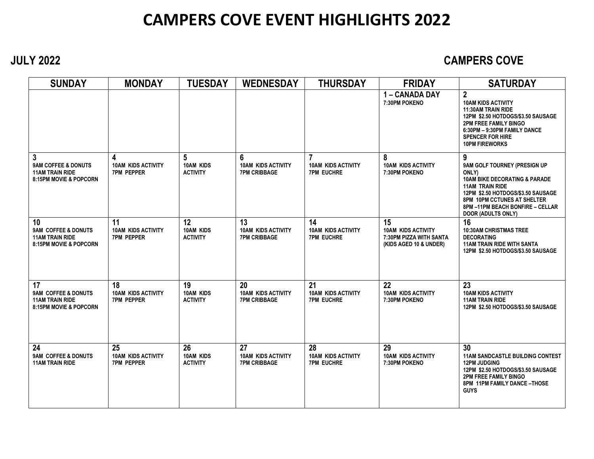## **JULY 2022 CAMPERS COVE**

| <b>SUNDAY</b>                                                                            | <b>MONDAY</b>                                        | <b>TUESDAY</b>                            | <b>WEDNESDAY</b>                                       | <b>THURSDAY</b>                                      | <b>FRIDAY</b>                                                                        | <b>SATURDAY</b>                                                                                                                                                                                                                                       |
|------------------------------------------------------------------------------------------|------------------------------------------------------|-------------------------------------------|--------------------------------------------------------|------------------------------------------------------|--------------------------------------------------------------------------------------|-------------------------------------------------------------------------------------------------------------------------------------------------------------------------------------------------------------------------------------------------------|
|                                                                                          |                                                      |                                           |                                                        |                                                      | 1 - CANADA DAY<br>7:30PM POKENO                                                      | $\overline{2}$<br><b>10AM KIDS ACTIVITY</b><br><b>11:30AM TRAIN RIDE</b><br>12PM \$2.50 HOTDOGS/\$3.50 SAUSAGE<br><b>2PM FREE FAMILY BINGO</b><br>6:30PM - 9:30PM FAMILY DANCE<br><b>SPENCER FOR HIRE</b><br><b>10PM FIREWORKS</b>                    |
| 3<br>9AM COFFEE & DONUTS<br><b>11AM TRAIN RIDE</b><br>8:15PM MOVIE & POPCORN             | 4<br><b>10AM KIDS ACTIVITY</b><br>7PM PEPPER         | 5<br>10AM KIDS<br><b>ACTIVITY</b>         | 6<br><b>10AM KIDS ACTIVITY</b><br><b>7PM CRIBBAGE</b>  | 7<br><b>10AM KIDS ACTIVITY</b><br><b>7PM EUCHRE</b>  | 8<br><b>10AM KIDS ACTIVITY</b><br>7:30PM POKENO                                      | 9<br>9AM GOLF TOURNEY (PRESIGN UP<br>ONLY)<br><b>10AM BIKE DECORATING &amp; PARADE</b><br><b>11AM TRAIN RIDE</b><br>12PM \$2.50 HOTDOGS/\$3.50 SAUSAGE<br>8PM 10PM CCTUNES AT SHELTER<br>8PM-11PM BEACH BONFIRE - CELLAR<br><b>DOOR (ADULTS ONLY)</b> |
| 10<br>9AM COFFEE & DONUTS<br><b>11AM TRAIN RIDE</b><br><b>8:15PM MOVIE &amp; POPCORN</b> | 11<br><b>10AM KIDS ACTIVITY</b><br><b>7PM PEPPER</b> | 12<br>10AM KIDS<br><b>ACTIVITY</b>        | 13<br><b>10AM KIDS ACTIVITY</b><br><b>7PM CRIBBAGE</b> | 14<br><b>10AM KIDS ACTIVITY</b><br><b>7PM EUCHRE</b> | 15<br><b>10AM KIDS ACTIVITY</b><br>7:30PM PIZZA WITH SANTA<br>(KIDS AGED 10 & UNDER) | 16<br><b>10:30AM CHRISTMAS TREE</b><br><b>DECORATING</b><br><b>11AM TRAIN RIDE WITH SANTA</b><br>12PM \$2.50 HOTDOGS/\$3.50 SAUSAGE                                                                                                                   |
| 17<br>9AM COFFEE & DONUTS<br><b>11AM TRAIN RIDE</b><br><b>8:15PM MOVIE &amp; POPCORN</b> | 18<br><b>10AM KIDS ACTIVITY</b><br>7PM PEPPER        | 19<br><b>10AM KIDS</b><br><b>ACTIVITY</b> | 20<br><b>10AM KIDS ACTIVITY</b><br><b>7PM CRIBBAGE</b> | 21<br><b>10AM KIDS ACTIVITY</b><br><b>7PM EUCHRE</b> | 22<br><b>10AM KIDS ACTIVITY</b><br>7:30PM POKENO                                     | 23<br><b>10AM KIDS ACTIVITY</b><br><b>11AM TRAIN RIDE</b><br>12PM \$2.50 HOTDOGS/\$3.50 SAUSAGE                                                                                                                                                       |
| 24<br>9AM COFFEE & DONUTS<br><b>11AM TRAIN RIDE</b>                                      | 25<br><b>10AM KIDS ACTIVITY</b><br><b>7PM PEPPER</b> | 26<br>10AM KIDS<br><b>ACTIVITY</b>        | 27<br><b>10AM KIDS ACTIVITY</b><br><b>7PM CRIBBAGE</b> | 28<br><b>10AM KIDS ACTIVITY</b><br><b>7PM EUCHRE</b> | 29<br><b>10AM KIDS ACTIVITY</b><br>7:30PM POKENO                                     | 30<br><b>11AM SANDCASTLE BUILDING CONTEST</b><br><b>12PM JUDGING</b><br>12PM \$2.50 HOTDOGS/\$3.50 SAUSAGE<br><b>2PM FREE FAMILY BINGO</b><br>8PM 11PM FAMILY DANCE-THOSE<br><b>GUYS</b>                                                              |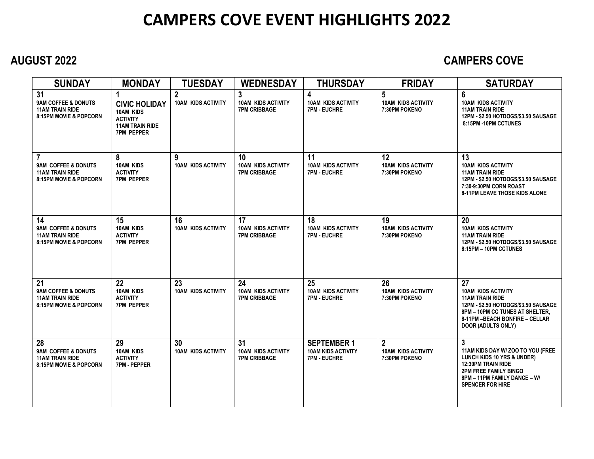## **AUGUST 2022 CAMPERS COVE**

| <b>SUNDAY</b>                                                                                       | <b>MONDAY</b>                                                                                                   | <b>TUESDAY</b>                            | <b>WEDNESDAY</b>                                                 | <b>THURSDAY</b>                                                      | <b>FRIDAY</b>                                                 | <b>SATURDAY</b>                                                                                                                                                                                      |
|-----------------------------------------------------------------------------------------------------|-----------------------------------------------------------------------------------------------------------------|-------------------------------------------|------------------------------------------------------------------|----------------------------------------------------------------------|---------------------------------------------------------------|------------------------------------------------------------------------------------------------------------------------------------------------------------------------------------------------------|
| 31<br><b>9AM COFFEE &amp; DONUTS</b><br><b>11AM TRAIN RIDE</b><br><b>8:15PM MOVIE &amp; POPCORN</b> | 1<br><b>CIVIC HOLIDAY</b><br><b>10AM KIDS</b><br><b>ACTIVITY</b><br><b>11AM TRAIN RIDE</b><br><b>7PM PEPPER</b> | $\mathbf{2}$<br><b>10AM KIDS ACTIVITY</b> | $\mathbf{3}$<br><b>10AM KIDS ACTIVITY</b><br><b>7PM CRIBBAGE</b> | 4<br><b>10AM KIDS ACTIVITY</b><br><b>7PM EUCHRE</b>                  | $5\phantom{.0}$<br><b>10AM KIDS ACTIVITY</b><br>7:30PM POKENO | 6<br><b>10AM KIDS ACTIVITY</b><br><b>11AM TRAIN RIDE</b><br>12PM - \$2.50 HOTDOGS/\$3.50 SAUSAGE<br>8:15PM -10PM CCTUNES                                                                             |
| <b>9AM COFFEE &amp; DONUTS</b><br><b>11AM TRAIN RIDE</b><br><b>8:15PM MOVIE &amp; POPCORN</b>       | 8<br><b>10AM KIDS</b><br><b>ACTIVITY</b><br><b>7PM PEPPER</b>                                                   | 9<br><b>10AM KIDS ACTIVITY</b>            | 10<br><b>10AM KIDS ACTIVITY</b><br><b>7PM CRIBBAGE</b>           | 11<br><b>10AM KIDS ACTIVITY</b><br><b>7PM EUCHRE</b>                 | 12<br><b>10AM KIDS ACTIVITY</b><br>7:30PM POKENO              | 13<br><b>10AM KIDS ACTIVITY</b><br><b>11AM TRAIN RIDE</b><br>12PM - \$2.50 HOTDOGS/\$3.50 SAUSAGE<br>7:30-9:30PM CORN ROAST<br><b>8-11PM LEAVE THOSE KIDS ALONE</b>                                  |
| 14<br><b>9AM COFFEE &amp; DONUTS</b><br><b>11AM TRAIN RIDE</b><br>8:15PM MOVIE & POPCORN            | 15<br><b>10AM KIDS</b><br><b>ACTIVITY</b><br><b>7PM PEPPER</b>                                                  | 16<br><b>10AM KIDS ACTIVITY</b>           | 17<br><b>10AM KIDS ACTIVITY</b><br><b>7PM CRIBBAGE</b>           | 18<br><b>10AM KIDS ACTIVITY</b><br><b>7PM EUCHRE</b>                 | 19<br><b>10AM KIDS ACTIVITY</b><br>7:30PM POKENO              | 20<br><b>10AM KIDS ACTIVITY</b><br><b>11AM TRAIN RIDE</b><br>12PM - \$2.50 HOTDOGS/\$3.50 SAUSAGE<br>8:15PM - 10PM CCTUNES                                                                           |
| 21<br>9AM COFFEE & DONUTS<br><b>11AM TRAIN RIDE</b><br>8:15PM MOVIE & POPCORN                       | 22<br><b>10AM KIDS</b><br><b>ACTIVITY</b><br><b>7PM PEPPER</b>                                                  | 23<br><b>10AM KIDS ACTIVITY</b>           | 24<br><b>10AM KIDS ACTIVITY</b><br><b>7PM CRIBBAGE</b>           | 25<br><b>10AM KIDS ACTIVITY</b><br><b>7PM EUCHRE</b>                 | 26<br><b>10AM KIDS ACTIVITY</b><br>7:30PM POKENO              | 27<br><b>10AM KIDS ACTIVITY</b><br><b>11AM TRAIN RIDE</b><br>12PM - \$2.50 HOTDOGS/\$3.50 SAUSAGE<br>8PM - 10PM CC TUNES AT SHELTER.<br>8-11PM - BEACH BONFIRE - CELLAR<br><b>DOOR (ADULTS ONLY)</b> |
| 28<br><b>9AM COFFEE &amp; DONUTS</b><br><b>11AM TRAIN RIDE</b><br>8:15PM MOVIE & POPCORN            | 29<br><b>10AM KIDS</b><br><b>ACTIVITY</b><br><b>7PM - PEPPER</b>                                                | 30<br><b>10AM KIDS ACTIVITY</b>           | 31<br><b>10AM KIDS ACTIVITY</b><br><b>7PM CRIBBAGE</b>           | <b>SEPTEMBER 1</b><br><b>10AM KIDS ACTIVITY</b><br><b>7PM EUCHRE</b> | $\overline{2}$<br><b>10AM KIDS ACTIVITY</b><br>7:30PM POKENO  | 3<br>11AM KIDS DAY W/ ZOO TO YOU (FREE<br>LUNCH KIDS 10 YRS & UNDER)<br><b>12:30PM TRAIN RIDE</b><br><b>2PM FREE FAMILY BINGO</b><br>8PM - 11PM FAMILY DANCE - W/<br><b>SPENCER FOR HIRE</b>         |